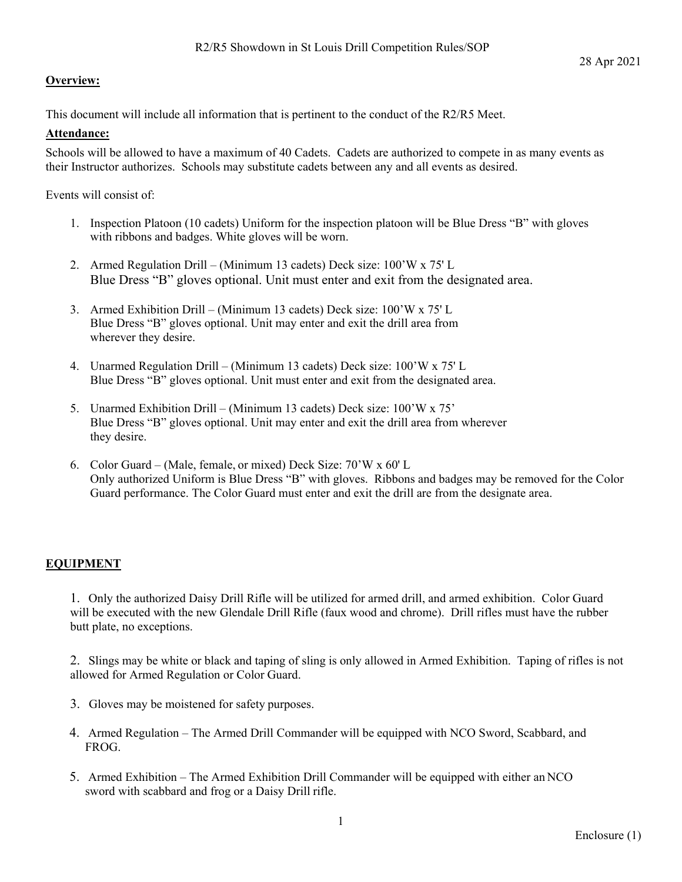# **Overview:**

This document will include all information that is pertinent to the conduct of the R2/R5 Meet.

# **Attendance:**

Schools will be allowed to have a maximum of 40 Cadets. Cadets are authorized to compete in as many events as their Instructor authorizes. Schools may substitute cadets between any and all events as desired.

Events will consist of:

- 1. Inspection Platoon (10 cadets) Uniform for the inspection platoon will be Blue Dress "B" with gloves with ribbons and badges. White gloves will be worn.
- 2. Armed Regulation Drill (Minimum 13 cadets) Deck size: 100'W x 75' L Blue Dress "B" gloves optional. Unit must enter and exit from the designated area.
- 3. Armed Exhibition Drill (Minimum 13 cadets) Deck size: 100'W x 75' L Blue Dress "B" gloves optional. Unit may enter and exit the drill area from wherever they desire.
- 4. Unarmed Regulation Drill (Minimum 13 cadets) Deck size: 100'W x 75' L Blue Dress "B" gloves optional. Unit must enter and exit from the designated area.
- 5. Unarmed Exhibition Drill (Minimum 13 cadets) Deck size: 100'W x 75' Blue Dress "B" gloves optional. Unit may enter and exit the drill area from wherever they desire.
- 6. Color Guard (Male, female, or mixed) Deck Size: 70'W x 60' L Only authorized Uniform is Blue Dress "B" with gloves. Ribbons and badges may be removed for the Color Guard performance. The Color Guard must enter and exit the drill are from the designate area.

# **EQUIPMENT**

1. Only the authorized Daisy Drill Rifle will be utilized for armed drill, and armed exhibition. Color Guard will be executed with the new Glendale Drill Rifle (faux wood and chrome). Drill rifles must have the rubber butt plate, no exceptions.

2. Slings may be white or black and taping of sling is only allowed in Armed Exhibition. Taping of rifles is not allowed for Armed Regulation or Color Guard.

- 3. Gloves may be moistened for safety purposes.
- 4. Armed Regulation The Armed Drill Commander will be equipped with NCO Sword, Scabbard, and FROG.
- 5. Armed Exhibition The Armed Exhibition Drill Commander will be equipped with either an NCO sword with scabbard and frog or a Daisy Drill rifle.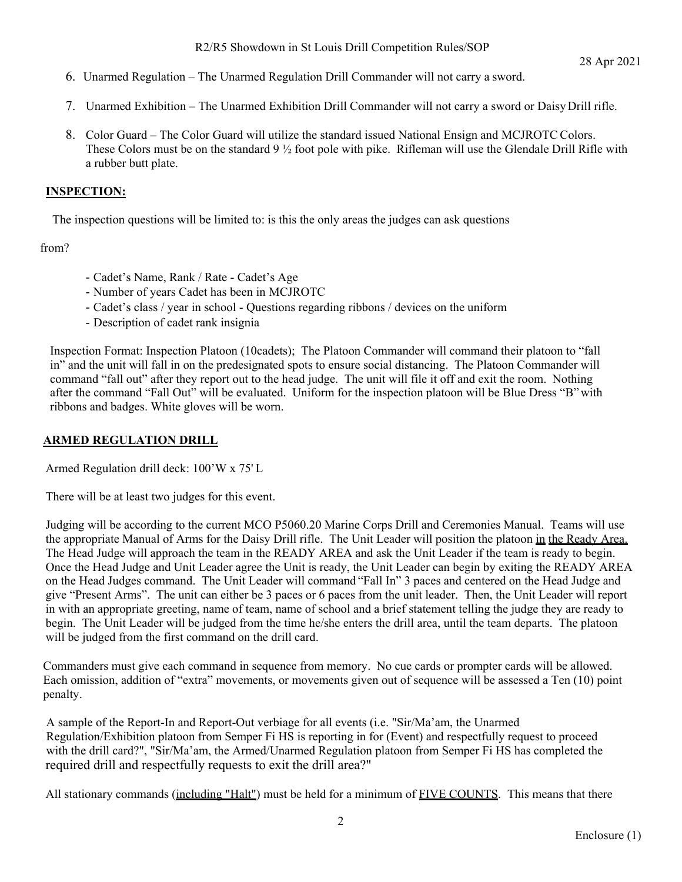- 6. Unarmed Regulation The Unarmed Regulation Drill Commander will not carry a sword.
- 7. Unarmed Exhibition The Unarmed Exhibition Drill Commander will not carry a sword or Daisy Drill rifle.
- 8. Color Guard The Color Guard will utilize the standard issued National Ensign and MCJROTC Colors. These Colors must be on the standard 9 ½ foot pole with pike. Rifleman will use the Glendale Drill Rifle with a rubber butt plate.

# **INSPECTION:**

The inspection questions will be limited to: is this the only areas the judges can ask questions

from?

- Cadet's Name, Rank / Rate Cadet's Age
- Number of years Cadet has been in MCJROTC
- Cadet's class / year in school Questions regarding ribbons / devices on the uniform
- Description of cadet rank insignia

Inspection Format: Inspection Platoon (10cadets); The Platoon Commander will command their platoon to "fall in" and the unit will fall in on the predesignated spots to ensure social distancing. The Platoon Commander will command "fall out" after they report out to the head judge. The unit will file it off and exit the room. Nothing after the command "Fall Out" will be evaluated. Uniform for the inspection platoon will be Blue Dress "B" with ribbons and badges. White gloves will be worn.

# **ARMED REGULATION DRILL**

Armed Regulation drill deck: 100'W x 75' L

There will be at least two judges for this event.

Judging will be according to the current MCO P5060.20 Marine Corps Drill and Ceremonies Manual. Teams will use the appropriate Manual of Arms for the Daisy Drill rifle. The Unit Leader will position the platoon in the Ready Area. The Head Judge will approach the team in the READY AREA and ask the Unit Leader if the team is ready to begin. Once the Head Judge and Unit Leader agree the Unit is ready, the Unit Leader can begin by exiting the READY AREA on the Head Judges command. The Unit Leader will command "Fall In" 3 paces and centered on the Head Judge and give "Present Arms". The unit can either be 3 paces or 6 paces from the unit leader. Then, the Unit Leader will report in with an appropriate greeting, name of team, name of school and a brief statement telling the judge they are ready to begin. The Unit Leader will be judged from the time he/she enters the drill area, until the team departs. The platoon will be judged from the first command on the drill card.

 Commanders must give each command in sequence from memory. No cue cards or prompter cards will be allowed. Each omission, addition of "extra" movements, or movements given out of sequence will be assessed a Ten (10) point penalty.

 A sample of the Report-In and Report-Out verbiage for all events (i.e. "Sir/Ma'am, the Unarmed Regulation/Exhibition platoon from Semper Fi HS is reporting in for (Event) and respectfully request to proceed with the drill card?", "Sir/Ma'am, the Armed/Unarmed Regulation platoon from Semper Fi HS has completed the required drill and respectfully requests to exit the drill area?"

All stationary commands (including "Halt") must be held for a minimum of FIVE COUNTS. This means that there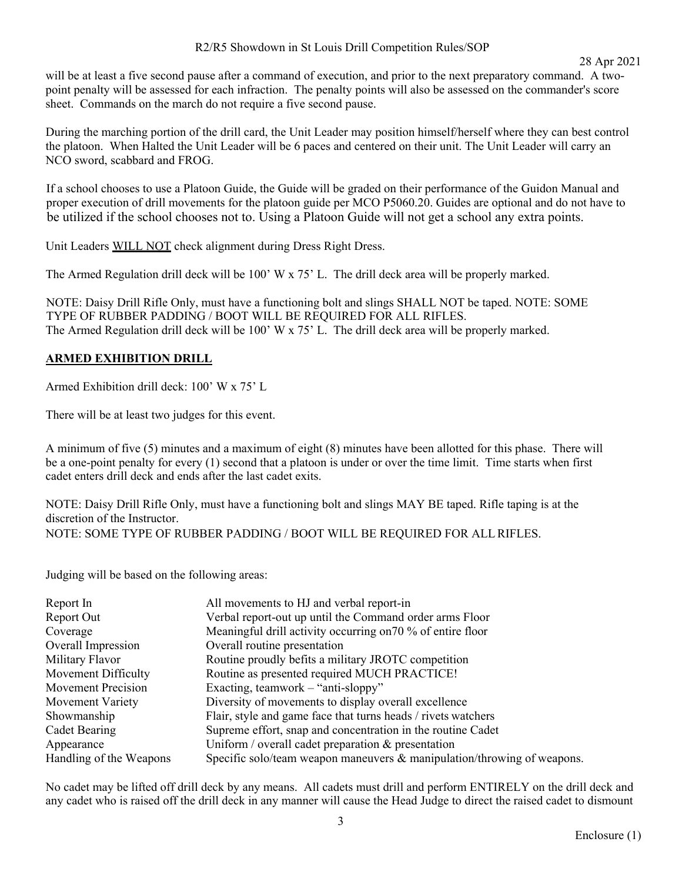will be at least a five second pause after a command of execution, and prior to the next preparatory command. A twopoint penalty will be assessed for each infraction. The penalty points will also be assessed on the commander's score sheet. Commands on the march do not require a five second pause.

During the marching portion of the drill card, the Unit Leader may position himself/herself where they can best control the platoon. When Halted the Unit Leader will be 6 paces and centered on their unit. The Unit Leader will carry an NCO sword, scabbard and FROG.

 If a school chooses to use a Platoon Guide, the Guide will be graded on their performance of the Guidon Manual and proper execution of drill movements for the platoon guide per MCO P5060.20. Guides are optional and do not have to be utilized if the school chooses not to. Using a Platoon Guide will not get a school any extra points.

Unit Leaders WILL NOT check alignment during Dress Right Dress.

The Armed Regulation drill deck will be 100' W x 75' L. The drill deck area will be properly marked.

 NOTE: Daisy Drill Rifle Only, must have a functioning bolt and slings SHALL NOT be taped. NOTE: SOME TYPE OF RUBBER PADDING / BOOT WILL BE REQUIRED FOR ALL RIFLES. The Armed Regulation drill deck will be 100' W x 75' L. The drill deck area will be properly marked.

# **ARMED EXHIBITION DRILL**

Armed Exhibition drill deck: 100' W x 75' L

There will be at least two judges for this event.

A minimum of five (5) minutes and a maximum of eight (8) minutes have been allotted for this phase. There will be a one-point penalty for every (1) second that a platoon is under or over the time limit. Time starts when first cadet enters drill deck and ends after the last cadet exits.

NOTE: Daisy Drill Rifle Only, must have a functioning bolt and slings MAY BE taped. Rifle taping is at the discretion of the Instructor. NOTE: SOME TYPE OF RUBBER PADDING / BOOT WILL BE REQUIRED FOR ALL RIFLES.

Judging will be based on the following areas:

| Report In               | All movements to HJ and verbal report-in                                   |
|-------------------------|----------------------------------------------------------------------------|
| Report Out              | Verbal report-out up until the Command order arms Floor                    |
| Coverage                | Meaningful drill activity occurring on 70 % of entire floor                |
| Overall Impression      | Overall routine presentation                                               |
| Military Flavor         | Routine proudly befits a military JROTC competition                        |
| Movement Difficulty     | Routine as presented required MUCH PRACTICE!                               |
| Movement Precision      | Exacting, teamwork – "anti-sloppy"                                         |
| Movement Variety        | Diversity of movements to display overall excellence                       |
| Showmanship             | Flair, style and game face that turns heads / rivets watchers              |
| Cadet Bearing           | Supreme effort, snap and concentration in the routine Cadet                |
| Appearance              | Uniform / overall cadet preparation $\&$ presentation                      |
| Handling of the Weapons | Specific solo/team weapon maneuvers $\&$ manipulation/throwing of weapons. |

No cadet may be lifted off drill deck by any means. All cadets must drill and perform ENTIRELY on the drill deck and any cadet who is raised off the drill deck in any manner will cause the Head Judge to direct the raised cadet to dismount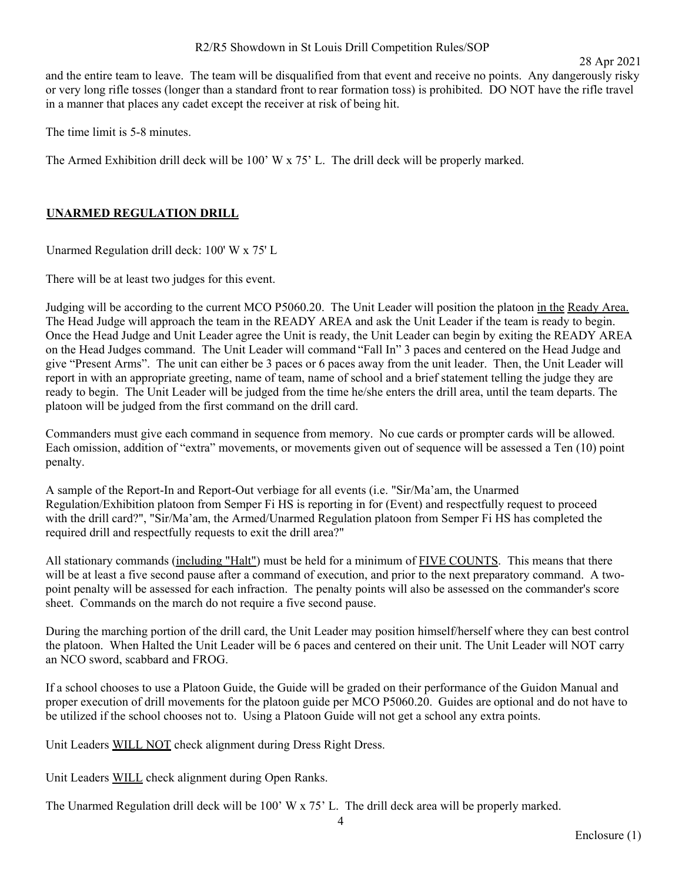and the entire team to leave. The team will be disqualified from that event and receive no points. Any dangerously risky or very long rifle tosses (longer than a standard front to rear formation toss) is prohibited. DO NOT have the rifle travel in a manner that places any cadet except the receiver at risk of being hit.

The time limit is 5-8 minutes.

The Armed Exhibition drill deck will be 100' W x 75' L. The drill deck will be properly marked.

### **UNARMED REGULATION DRILL**

Unarmed Regulation drill deck: 100' W x 75' L

There will be at least two judges for this event.

Judging will be according to the current MCO P5060.20. The Unit Leader will position the platoon in the Ready Area. The Head Judge will approach the team in the READY AREA and ask the Unit Leader if the team is ready to begin. Once the Head Judge and Unit Leader agree the Unit is ready, the Unit Leader can begin by exiting the READY AREA on the Head Judges command. The Unit Leader will command "Fall In" 3 paces and centered on the Head Judge and give "Present Arms". The unit can either be 3 paces or 6 paces away from the unit leader. Then, the Unit Leader will report in with an appropriate greeting, name of team, name of school and a brief statement telling the judge they are ready to begin. The Unit Leader will be judged from the time he/she enters the drill area, until the team departs. The platoon will be judged from the first command on the drill card.

Commanders must give each command in sequence from memory. No cue cards or prompter cards will be allowed. Each omission, addition of "extra" movements, or movements given out of sequence will be assessed a Ten (10) point penalty.

A sample of the Report-In and Report-Out verbiage for all events (i.e. "Sir/Ma'am, the Unarmed Regulation/Exhibition platoon from Semper Fi HS is reporting in for (Event) and respectfully request to proceed with the drill card?", "Sir/Ma'am, the Armed/Unarmed Regulation platoon from Semper Fi HS has completed the required drill and respectfully requests to exit the drill area?"

All stationary commands (including "Halt") must be held for a minimum of FIVE COUNTS. This means that there will be at least a five second pause after a command of execution, and prior to the next preparatory command. A twopoint penalty will be assessed for each infraction. The penalty points will also be assessed on the commander's score sheet. Commands on the march do not require a five second pause.

During the marching portion of the drill card, the Unit Leader may position himself/herself where they can best control the platoon. When Halted the Unit Leader will be 6 paces and centered on their unit. The Unit Leader will NOT carry an NCO sword, scabbard and FROG.

If a school chooses to use a Platoon Guide, the Guide will be graded on their performance of the Guidon Manual and proper execution of drill movements for the platoon guide per MCO P5060.20. Guides are optional and do not have to be utilized if the school chooses not to. Using a Platoon Guide will not get a school any extra points.

Unit Leaders WILL NOT check alignment during Dress Right Dress.

Unit Leaders WILL check alignment during Open Ranks.

The Unarmed Regulation drill deck will be 100' W x 75' L. The drill deck area will be properly marked.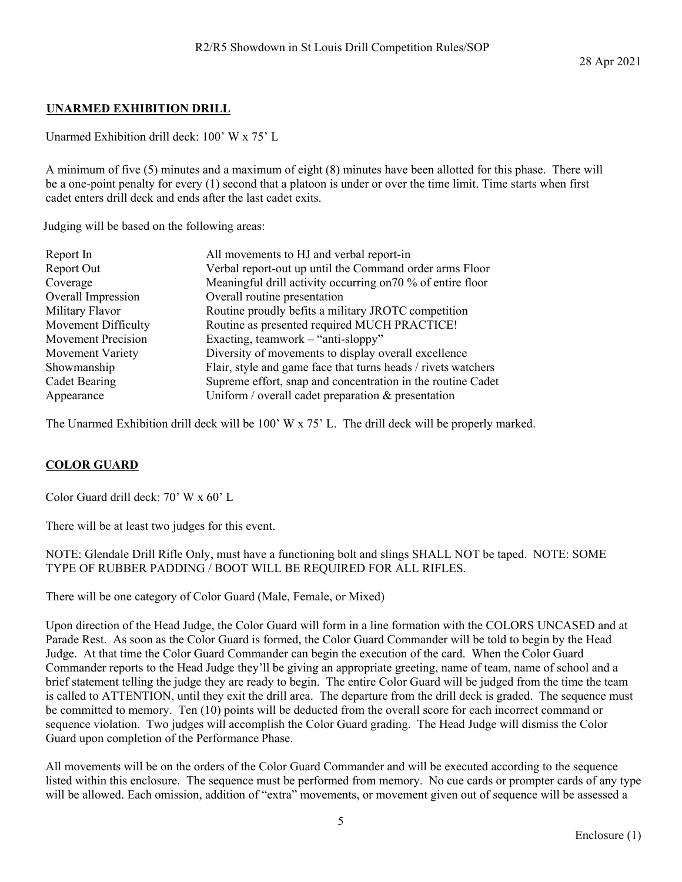#### **UNARMED EXHIBITION DRILL**

Unarmed Exhibition drill deck: 100' W x 75' L

A minimum of five (5) minutes and a maximum of eight (8) minutes have been allotted for this phase. There will be a one-point penalty for every (1) second that a platoon is under or over the time limit. Time starts when first cadet enters drill deck and ends after the last cadet exits.

Judging will be based on the following areas:

| Report In                 | All movements to HJ and verbal report-in                      |
|---------------------------|---------------------------------------------------------------|
| Report Out                | Verbal report-out up until the Command order arms Floor       |
| Coverage                  | Meaningful drill activity occurring on 70 % of entire floor   |
| Overall Impression        | Overall routine presentation                                  |
| Military Flavor           | Routine proudly befits a military JROTC competition           |
| Movement Difficulty       | Routine as presented required MUCH PRACTICE!                  |
| <b>Movement Precision</b> | Exacting, teamwork $-$ "anti-sloppy"                          |
| Movement Variety          | Diversity of movements to display overall excellence          |
| Showmanship               | Flair, style and game face that turns heads / rivets watchers |
| <b>Cadet Bearing</b>      | Supreme effort, snap and concentration in the routine Cadet   |
| Appearance                | Uniform / overall cadet preparation $&$ presentation          |

The Unarmed Exhibition drill deck will be 100' W x 75' L. The drill deck will be properly marked.

# **COLOR GUARD**

Color Guard drill deck: 70' W x 60' L

There will be at least two judges for this event.

NOTE: Glendale Drill Rifle Only, must have a functioning bolt and slings SHALL NOT be taped. NOTE: SOME TYPE OF RUBBER PADDING / BOOT WILL BE REQUIRED FOR ALL RIFLES.

There will be one category of Color Guard (Male, Female, or Mixed)

Upon direction of the Head Judge, the Color Guard will form in a line formation with the COLORS UNCASED and at Parade Rest. As soon as the Color Guard is formed, the Color Guard Commander will be told to begin by the Head Judge. At that time the Color Guard Commander can begin the execution of the card. When the Color Guard Commander reports to the Head Judge they'll be giving an appropriate greeting, name of team, name of school and a brief statement telling the judge they are ready to begin. The entire Color Guard will be judged from the time the team is called to ATTENTION, until they exit the drill area. The departure from the drill deck is graded. The sequence must be committed to memory. Ten (10) points will be deducted from the overall score for each incorrect command or sequence violation. Two judges will accomplish the Color Guard grading. The Head Judge will dismiss the Color Guard upon completion of the Performance Phase.

All movements will be on the orders of the Color Guard Commander and will be executed according to the sequence listed within this enclosure. The sequence must be performed from memory. No cue cards or prompter cards of any type will be allowed. Each omission, addition of "extra" movements, or movement given out of sequence will be assessed a